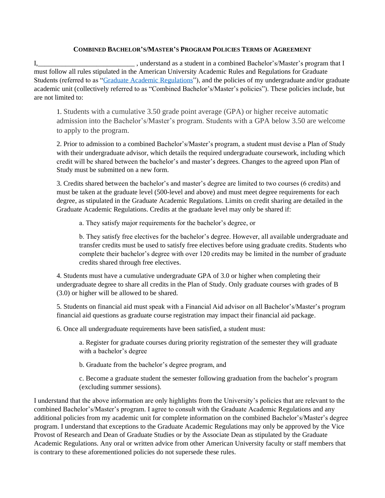## **COMBINED BACHELOR'S/MASTER'S PROGRAM POLICIES TERMS OF AGREEMENT**

I, The combined Bachelor's/Master's program that I must follow all rules stipulated in the American University Academic Rules and Regulations for Graduate Students (referred to as ["Graduate Academic Regulations"](https://www.american.edu/provost/grad/graduate-academic-regulations.cfm)), and the policies of my undergraduate and/or graduate academic unit (collectively referred to as "Combined Bachelor's/Master's policies"). These policies include, but are not limited to:

 1. Students with a cumulative 3.50 grade point average (GPA) or higher receive automatic admission into the Bachelor's/Master's program. Students with a GPA below 3.50 are welcome to apply to the program.

2. Prior to admission to a combined Bachelor's/Master's program, a student must devise a Plan of Study with their undergraduate advisor, which details the required undergraduate coursework, including which credit will be shared between the bachelor's and master's degrees. Changes to the agreed upon Plan of Study must be submitted on a new form.

3. Credits shared between the bachelor's and master's degree are limited to two courses (6 credits) and must be taken at the graduate level (500-level and above) and must meet degree requirements for each degree, as stipulated in the Graduate Academic Regulations. Limits on credit sharing are detailed in the Graduate Academic Regulations. Credits at the graduate level may only be shared if:

a. They satisfy major requirements for the bachelor's degree, or

b. They satisfy free electives for the bachelor's degree. However, all available undergraduate and transfer credits must be used to satisfy free electives before using graduate credits. Students who complete their bachelor's degree with over 120 credits may be limited in the number of graduate credits shared through free electives.

 4. Students must have a cumulative undergraduate GPA of 3.0 or higher when completing their undergraduate degree to share all credits in the Plan of Study. Only graduate courses with grades of B (3.0) or higher will be allowed to be shared.

5. Students on financial aid must speak with a Financial Aid advisor on all Bachelor's/Master's program financial aid questions as graduate course registration may impact their financial aid package.

6. Once all undergraduate requirements have been satisfied, a student must:

a. Register for graduate courses during priority registration of the semester they will graduate with a bachelor's degree

b. Graduate from the bachelor's degree program, and

c. Become a graduate student the semester following graduation from the bachelor's program (excluding summer sessions).

I understand that the above information are only highlights from the University's policies that are relevant to the combined Bachelor's/Master's program. I agree to consult with the Graduate Academic Regulations and any additional policies from my academic unit for complete information on the combined Bachelor's/Master's degree program. I understand that exceptions to the Graduate Academic Regulations may only be approved by the Vice Provost of Research and Dean of Graduate Studies or by the Associate Dean as stipulated by the Graduate Academic Regulations. Any oral or written advice from other American University faculty or staff members that is contrary to these aforementioned policies do not supersede these rules.